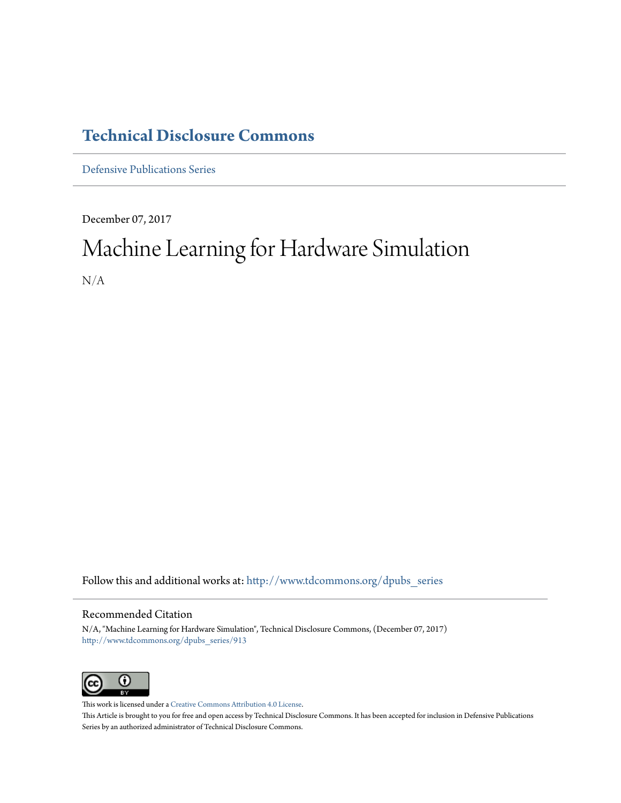# **[Technical Disclosure Commons](http://www.tdcommons.org?utm_source=www.tdcommons.org%2Fdpubs_series%2F913&utm_medium=PDF&utm_campaign=PDFCoverPages)**

[Defensive Publications Series](http://www.tdcommons.org/dpubs_series?utm_source=www.tdcommons.org%2Fdpubs_series%2F913&utm_medium=PDF&utm_campaign=PDFCoverPages)

December 07, 2017

# Machine Learning for Hardware Simulation N/A

Follow this and additional works at: [http://www.tdcommons.org/dpubs\\_series](http://www.tdcommons.org/dpubs_series?utm_source=www.tdcommons.org%2Fdpubs_series%2F913&utm_medium=PDF&utm_campaign=PDFCoverPages)

### Recommended Citation

N/A, "Machine Learning for Hardware Simulation", Technical Disclosure Commons, (December 07, 2017) [http://www.tdcommons.org/dpubs\\_series/913](http://www.tdcommons.org/dpubs_series/913?utm_source=www.tdcommons.org%2Fdpubs_series%2F913&utm_medium=PDF&utm_campaign=PDFCoverPages)



This work is licensed under a [Creative Commons Attribution 4.0 License.](http://creativecommons.org/licenses/by/4.0/deed.en_US) This Article is brought to you for free and open access by Technical Disclosure Commons. It has been accepted for inclusion in Defensive Publications Series by an authorized administrator of Technical Disclosure Commons.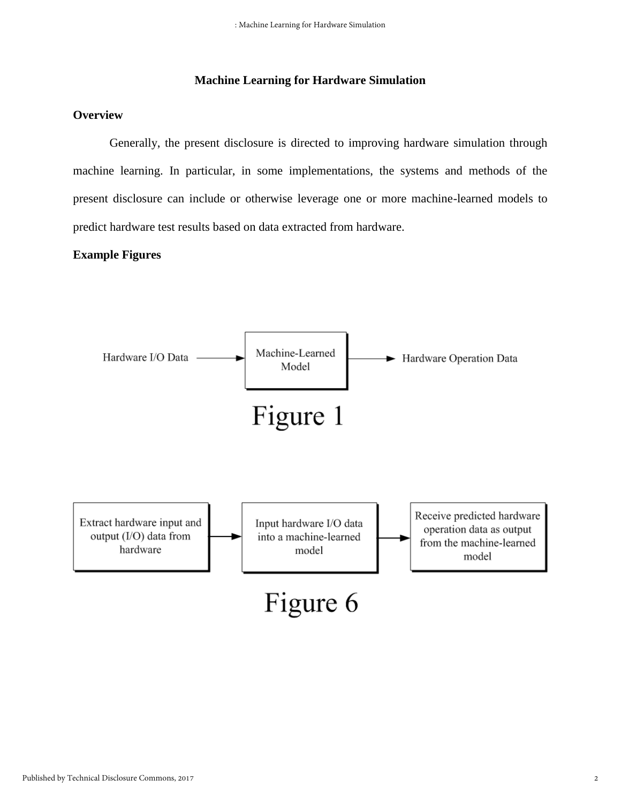### **Machine Learning for Hardware Simulation**

## **Overview**

Generally, the present disclosure is directed to improving hardware simulation through machine learning. In particular, in some implementations, the systems and methods of the present disclosure can include or otherwise leverage one or more machine-learned models to predict hardware test results based on data extracted from hardware.

### **Example Figures**

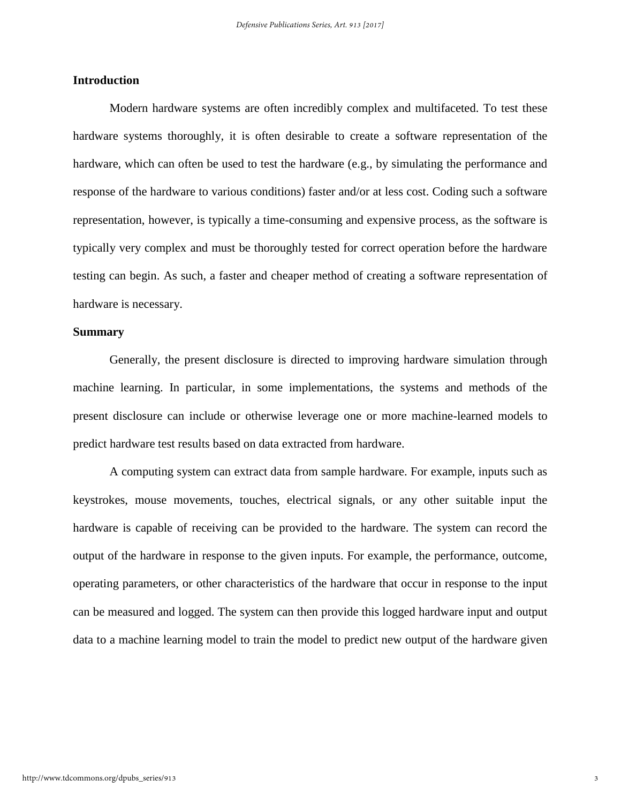### **Introduction**

Modern hardware systems are often incredibly complex and multifaceted. To test these hardware systems thoroughly, it is often desirable to create a software representation of the hardware, which can often be used to test the hardware (e.g., by simulating the performance and response of the hardware to various conditions) faster and/or at less cost. Coding such a software representation, however, is typically a time-consuming and expensive process, as the software is typically very complex and must be thoroughly tested for correct operation before the hardware testing can begin. As such, a faster and cheaper method of creating a software representation of hardware is necessary.

#### **Summary**

Generally, the present disclosure is directed to improving hardware simulation through machine learning. In particular, in some implementations, the systems and methods of the present disclosure can include or otherwise leverage one or more machine-learned models to predict hardware test results based on data extracted from hardware.

A computing system can extract data from sample hardware. For example, inputs such as keystrokes, mouse movements, touches, electrical signals, or any other suitable input the hardware is capable of receiving can be provided to the hardware. The system can record the output of the hardware in response to the given inputs. For example, the performance, outcome, operating parameters, or other characteristics of the hardware that occur in response to the input can be measured and logged. The system can then provide this logged hardware input and output data to a machine learning model to train the model to predict new output of the hardware given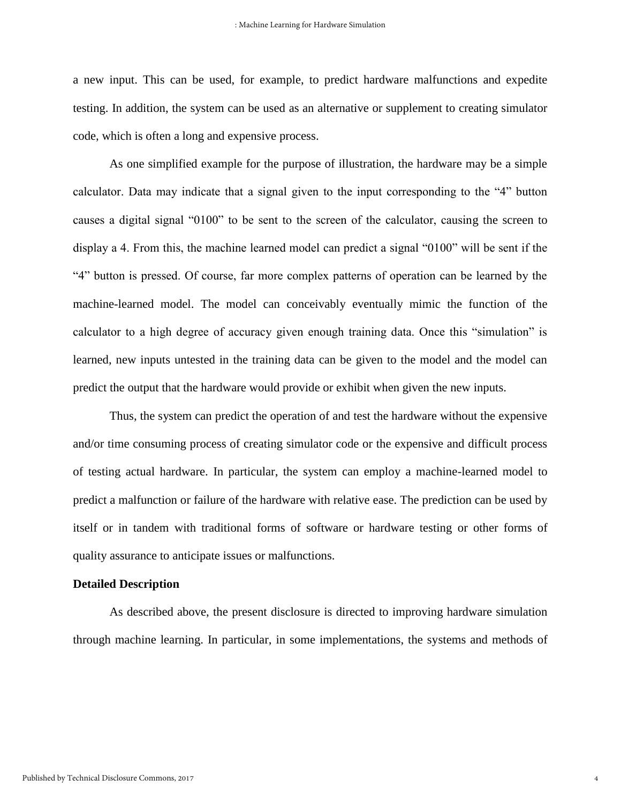a new input. This can be used, for example, to predict hardware malfunctions and expedite testing. In addition, the system can be used as an alternative or supplement to creating simulator code, which is often a long and expensive process.

As one simplified example for the purpose of illustration, the hardware may be a simple calculator. Data may indicate that a signal given to the input corresponding to the "4" button causes a digital signal "0100" to be sent to the screen of the calculator, causing the screen to display a 4. From this, the machine learned model can predict a signal "0100" will be sent if the "4" button is pressed. Of course, far more complex patterns of operation can be learned by the machine-learned model. The model can conceivably eventually mimic the function of the calculator to a high degree of accuracy given enough training data. Once this "simulation" is learned, new inputs untested in the training data can be given to the model and the model can predict the output that the hardware would provide or exhibit when given the new inputs.

Thus, the system can predict the operation of and test the hardware without the expensive and/or time consuming process of creating simulator code or the expensive and difficult process of testing actual hardware. In particular, the system can employ a machine-learned model to predict a malfunction or failure of the hardware with relative ease. The prediction can be used by itself or in tandem with traditional forms of software or hardware testing or other forms of quality assurance to anticipate issues or malfunctions.

#### **Detailed Description**

As described above, the present disclosure is directed to improving hardware simulation through machine learning. In particular, in some implementations, the systems and methods of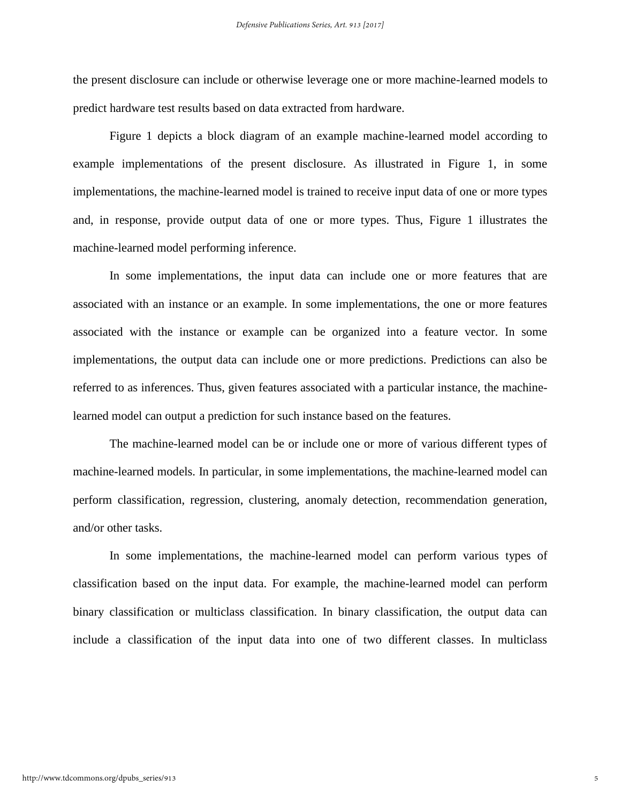the present disclosure can include or otherwise leverage one or more machine-learned models to predict hardware test results based on data extracted from hardware.

Figure 1 depicts a block diagram of an example machine-learned model according to example implementations of the present disclosure. As illustrated in Figure 1, in some implementations, the machine-learned model is trained to receive input data of one or more types and, in response, provide output data of one or more types. Thus, Figure 1 illustrates the machine-learned model performing inference.

In some implementations, the input data can include one or more features that are associated with an instance or an example. In some implementations, the one or more features associated with the instance or example can be organized into a feature vector. In some implementations, the output data can include one or more predictions. Predictions can also be referred to as inferences. Thus, given features associated with a particular instance, the machinelearned model can output a prediction for such instance based on the features.

The machine-learned model can be or include one or more of various different types of machine-learned models. In particular, in some implementations, the machine-learned model can perform classification, regression, clustering, anomaly detection, recommendation generation, and/or other tasks.

In some implementations, the machine-learned model can perform various types of classification based on the input data. For example, the machine-learned model can perform binary classification or multiclass classification. In binary classification, the output data can include a classification of the input data into one of two different classes. In multiclass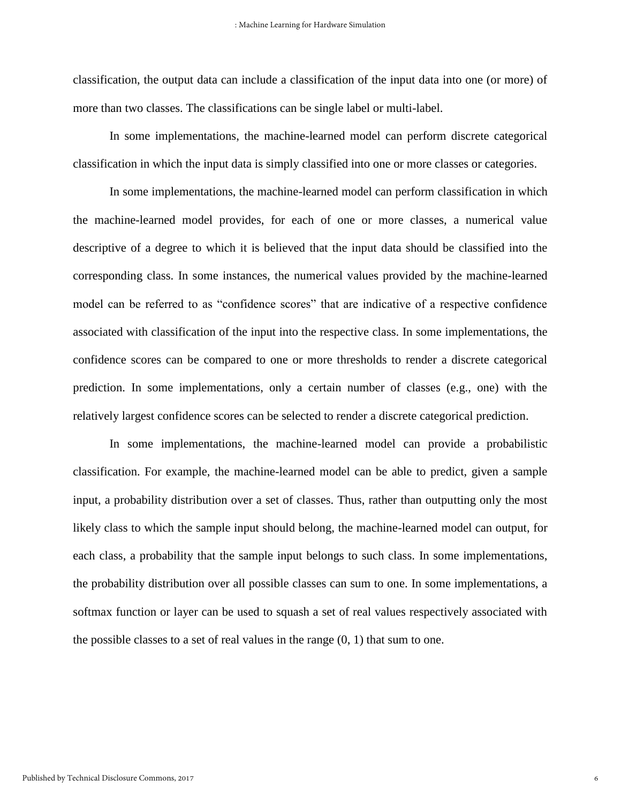classification, the output data can include a classification of the input data into one (or more) of more than two classes. The classifications can be single label or multi-label.

In some implementations, the machine-learned model can perform discrete categorical classification in which the input data is simply classified into one or more classes or categories.

In some implementations, the machine-learned model can perform classification in which the machine-learned model provides, for each of one or more classes, a numerical value descriptive of a degree to which it is believed that the input data should be classified into the corresponding class. In some instances, the numerical values provided by the machine-learned model can be referred to as "confidence scores" that are indicative of a respective confidence associated with classification of the input into the respective class. In some implementations, the confidence scores can be compared to one or more thresholds to render a discrete categorical prediction. In some implementations, only a certain number of classes (e.g., one) with the relatively largest confidence scores can be selected to render a discrete categorical prediction.

In some implementations, the machine-learned model can provide a probabilistic classification. For example, the machine-learned model can be able to predict, given a sample input, a probability distribution over a set of classes. Thus, rather than outputting only the most likely class to which the sample input should belong, the machine-learned model can output, for each class, a probability that the sample input belongs to such class. In some implementations, the probability distribution over all possible classes can sum to one. In some implementations, a softmax function or layer can be used to squash a set of real values respectively associated with the possible classes to a set of real values in the range  $(0, 1)$  that sum to one.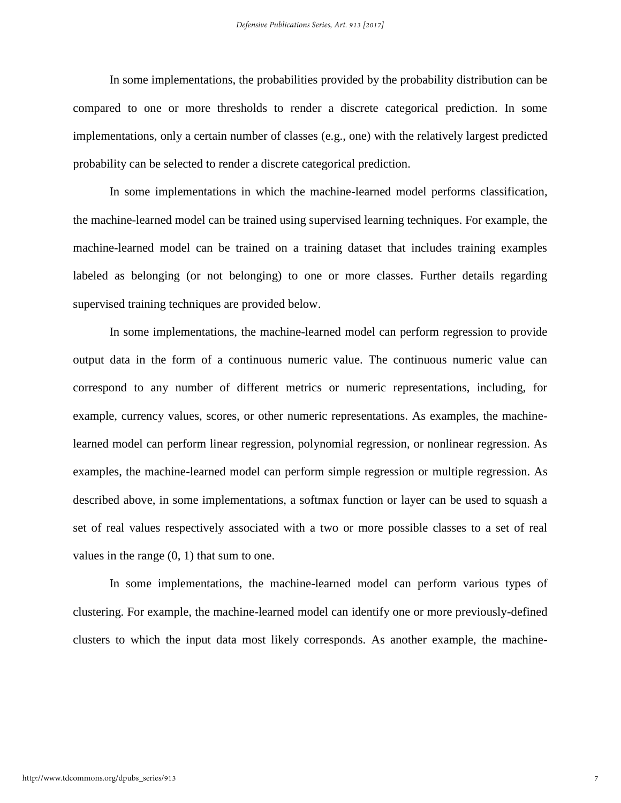In some implementations, the probabilities provided by the probability distribution can be compared to one or more thresholds to render a discrete categorical prediction. In some implementations, only a certain number of classes (e.g., one) with the relatively largest predicted probability can be selected to render a discrete categorical prediction.

In some implementations in which the machine-learned model performs classification, the machine-learned model can be trained using supervised learning techniques. For example, the machine-learned model can be trained on a training dataset that includes training examples labeled as belonging (or not belonging) to one or more classes. Further details regarding supervised training techniques are provided below.

In some implementations, the machine-learned model can perform regression to provide output data in the form of a continuous numeric value. The continuous numeric value can correspond to any number of different metrics or numeric representations, including, for example, currency values, scores, or other numeric representations. As examples, the machinelearned model can perform linear regression, polynomial regression, or nonlinear regression. As examples, the machine-learned model can perform simple regression or multiple regression. As described above, in some implementations, a softmax function or layer can be used to squash a set of real values respectively associated with a two or more possible classes to a set of real values in the range (0, 1) that sum to one.

In some implementations, the machine-learned model can perform various types of clustering. For example, the machine-learned model can identify one or more previously-defined clusters to which the input data most likely corresponds. As another example, the machine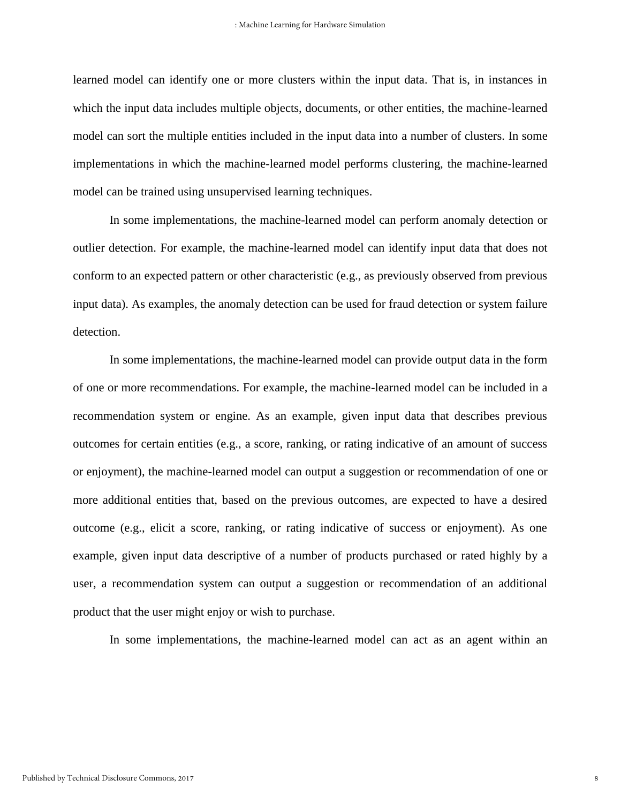learned model can identify one or more clusters within the input data. That is, in instances in which the input data includes multiple objects, documents, or other entities, the machine-learned model can sort the multiple entities included in the input data into a number of clusters. In some implementations in which the machine-learned model performs clustering, the machine-learned model can be trained using unsupervised learning techniques.

In some implementations, the machine-learned model can perform anomaly detection or outlier detection. For example, the machine-learned model can identify input data that does not conform to an expected pattern or other characteristic (e.g., as previously observed from previous input data). As examples, the anomaly detection can be used for fraud detection or system failure detection.

In some implementations, the machine-learned model can provide output data in the form of one or more recommendations. For example, the machine-learned model can be included in a recommendation system or engine. As an example, given input data that describes previous outcomes for certain entities (e.g., a score, ranking, or rating indicative of an amount of success or enjoyment), the machine-learned model can output a suggestion or recommendation of one or more additional entities that, based on the previous outcomes, are expected to have a desired outcome (e.g., elicit a score, ranking, or rating indicative of success or enjoyment). As one example, given input data descriptive of a number of products purchased or rated highly by a user, a recommendation system can output a suggestion or recommendation of an additional product that the user might enjoy or wish to purchase.

In some implementations, the machine-learned model can act as an agent within an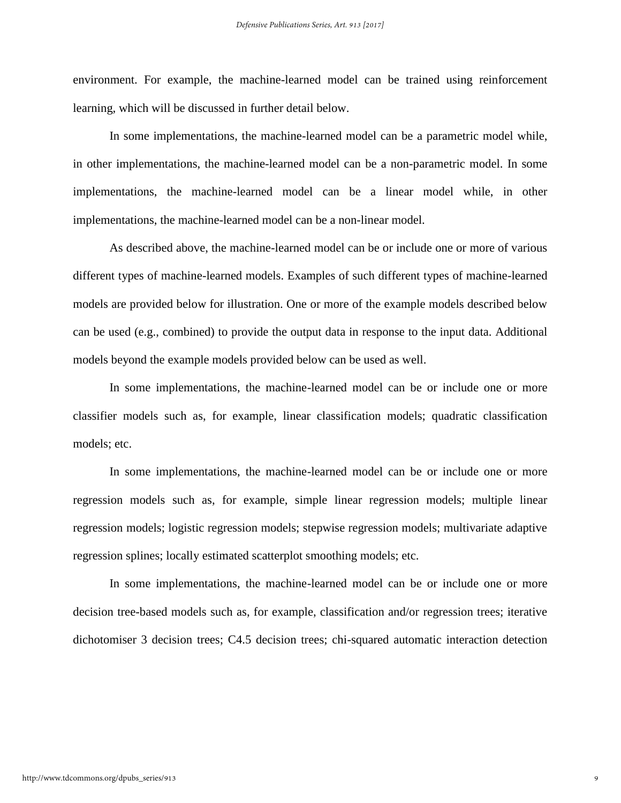environment. For example, the machine-learned model can be trained using reinforcement learning, which will be discussed in further detail below.

In some implementations, the machine-learned model can be a parametric model while, in other implementations, the machine-learned model can be a non-parametric model. In some implementations, the machine-learned model can be a linear model while, in other implementations, the machine-learned model can be a non-linear model.

As described above, the machine-learned model can be or include one or more of various different types of machine-learned models. Examples of such different types of machine-learned models are provided below for illustration. One or more of the example models described below can be used (e.g., combined) to provide the output data in response to the input data. Additional models beyond the example models provided below can be used as well.

In some implementations, the machine-learned model can be or include one or more classifier models such as, for example, linear classification models; quadratic classification models; etc.

In some implementations, the machine-learned model can be or include one or more regression models such as, for example, simple linear regression models; multiple linear regression models; logistic regression models; stepwise regression models; multivariate adaptive regression splines; locally estimated scatterplot smoothing models; etc.

In some implementations, the machine-learned model can be or include one or more decision tree-based models such as, for example, classification and/or regression trees; iterative dichotomiser 3 decision trees; C4.5 decision trees; chi-squared automatic interaction detection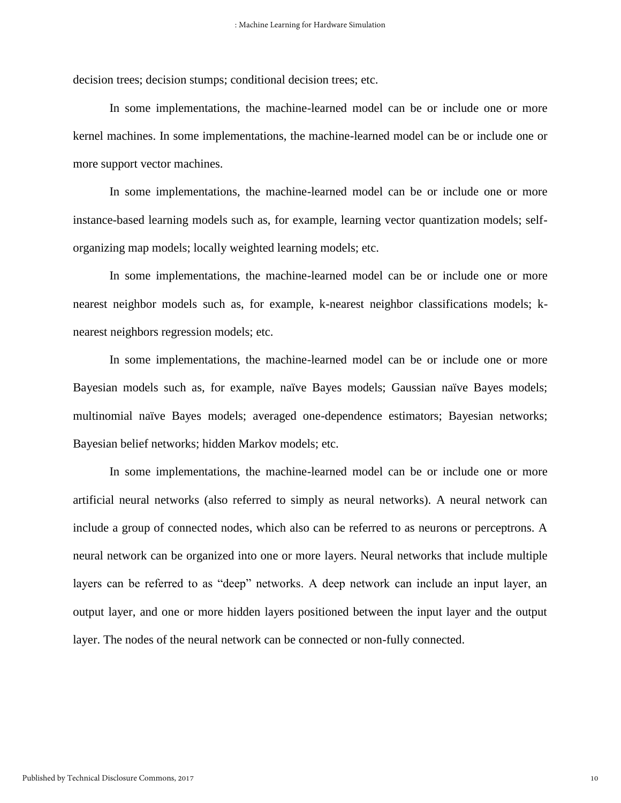decision trees; decision stumps; conditional decision trees; etc.

In some implementations, the machine-learned model can be or include one or more kernel machines. In some implementations, the machine-learned model can be or include one or more support vector machines.

In some implementations, the machine-learned model can be or include one or more instance-based learning models such as, for example, learning vector quantization models; selforganizing map models; locally weighted learning models; etc.

In some implementations, the machine-learned model can be or include one or more nearest neighbor models such as, for example, k-nearest neighbor classifications models; knearest neighbors regression models; etc.

In some implementations, the machine-learned model can be or include one or more Bayesian models such as, for example, naïve Bayes models; Gaussian naïve Bayes models; multinomial naïve Bayes models; averaged one-dependence estimators; Bayesian networks; Bayesian belief networks; hidden Markov models; etc.

In some implementations, the machine-learned model can be or include one or more artificial neural networks (also referred to simply as neural networks). A neural network can include a group of connected nodes, which also can be referred to as neurons or perceptrons. A neural network can be organized into one or more layers. Neural networks that include multiple layers can be referred to as "deep" networks. A deep network can include an input layer, an output layer, and one or more hidden layers positioned between the input layer and the output layer. The nodes of the neural network can be connected or non-fully connected.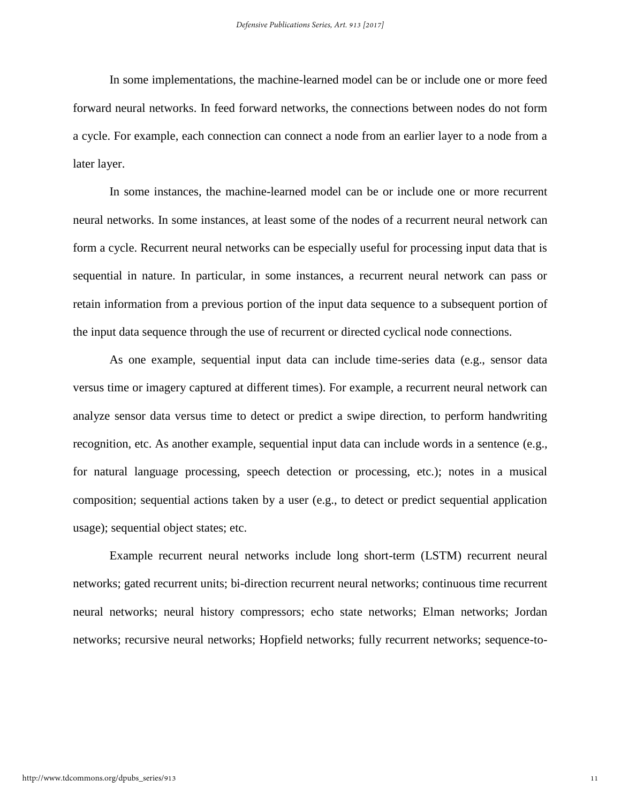In some implementations, the machine-learned model can be or include one or more feed forward neural networks. In feed forward networks, the connections between nodes do not form a cycle. For example, each connection can connect a node from an earlier layer to a node from a later layer.

In some instances, the machine-learned model can be or include one or more recurrent neural networks. In some instances, at least some of the nodes of a recurrent neural network can form a cycle. Recurrent neural networks can be especially useful for processing input data that is sequential in nature. In particular, in some instances, a recurrent neural network can pass or retain information from a previous portion of the input data sequence to a subsequent portion of the input data sequence through the use of recurrent or directed cyclical node connections.

As one example, sequential input data can include time-series data (e.g., sensor data versus time or imagery captured at different times). For example, a recurrent neural network can analyze sensor data versus time to detect or predict a swipe direction, to perform handwriting recognition, etc. As another example, sequential input data can include words in a sentence (e.g., for natural language processing, speech detection or processing, etc.); notes in a musical composition; sequential actions taken by a user (e.g., to detect or predict sequential application usage); sequential object states; etc.

Example recurrent neural networks include long short-term (LSTM) recurrent neural networks; gated recurrent units; bi-direction recurrent neural networks; continuous time recurrent neural networks; neural history compressors; echo state networks; Elman networks; Jordan networks; recursive neural networks; Hopfield networks; fully recurrent networks; sequence-to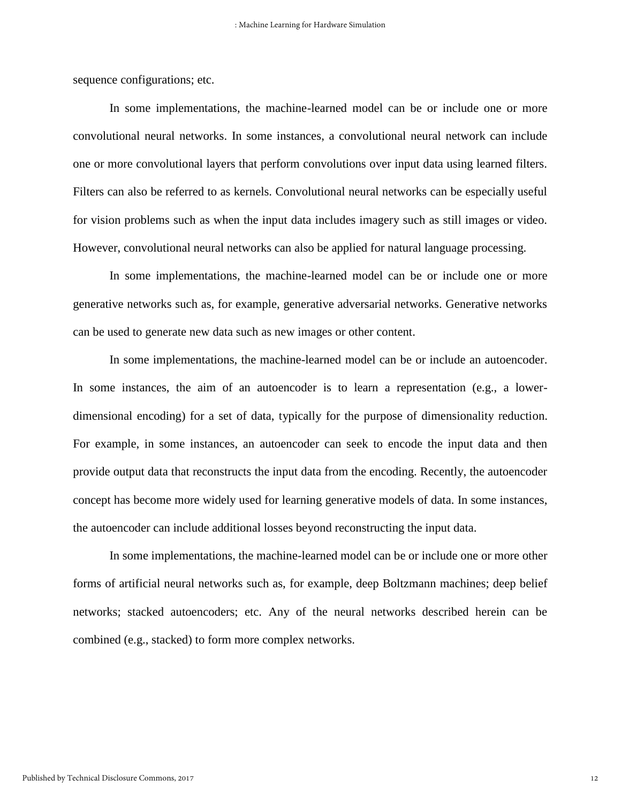sequence configurations; etc.

In some implementations, the machine-learned model can be or include one or more convolutional neural networks. In some instances, a convolutional neural network can include one or more convolutional layers that perform convolutions over input data using learned filters. Filters can also be referred to as kernels. Convolutional neural networks can be especially useful for vision problems such as when the input data includes imagery such as still images or video. However, convolutional neural networks can also be applied for natural language processing.

In some implementations, the machine-learned model can be or include one or more generative networks such as, for example, generative adversarial networks. Generative networks can be used to generate new data such as new images or other content.

In some implementations, the machine-learned model can be or include an autoencoder. In some instances, the aim of an autoencoder is to learn a representation (e.g., a lowerdimensional encoding) for a set of data, typically for the purpose of dimensionality reduction. For example, in some instances, an autoencoder can seek to encode the input data and then provide output data that reconstructs the input data from the encoding. Recently, the autoencoder concept has become more widely used for learning generative models of data. In some instances, the autoencoder can include additional losses beyond reconstructing the input data.

In some implementations, the machine-learned model can be or include one or more other forms of artificial neural networks such as, for example, deep Boltzmann machines; deep belief networks; stacked autoencoders; etc. Any of the neural networks described herein can be combined (e.g., stacked) to form more complex networks.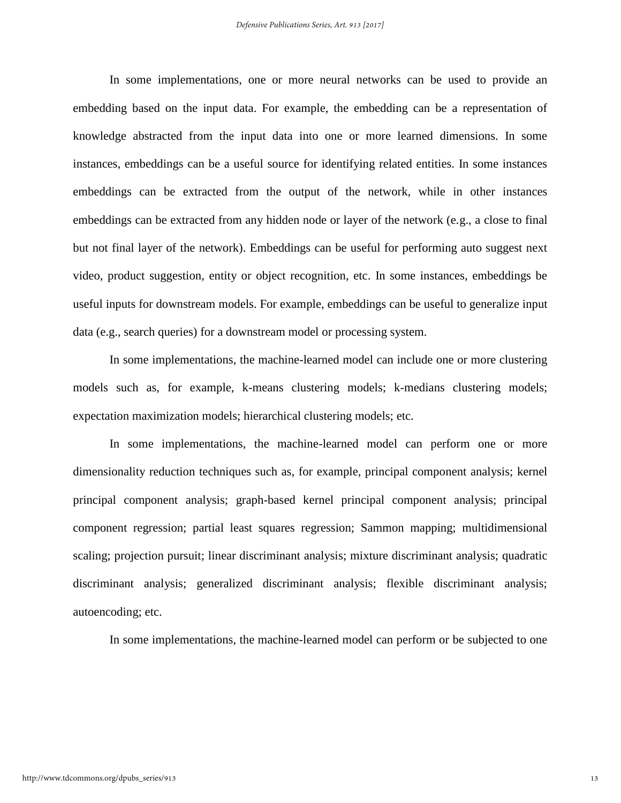In some implementations, one or more neural networks can be used to provide an embedding based on the input data. For example, the embedding can be a representation of knowledge abstracted from the input data into one or more learned dimensions. In some instances, embeddings can be a useful source for identifying related entities. In some instances embeddings can be extracted from the output of the network, while in other instances embeddings can be extracted from any hidden node or layer of the network (e.g., a close to final but not final layer of the network). Embeddings can be useful for performing auto suggest next video, product suggestion, entity or object recognition, etc. In some instances, embeddings be useful inputs for downstream models. For example, embeddings can be useful to generalize input data (e.g., search queries) for a downstream model or processing system.

In some implementations, the machine-learned model can include one or more clustering models such as, for example, k-means clustering models; k-medians clustering models; expectation maximization models; hierarchical clustering models; etc.

In some implementations, the machine-learned model can perform one or more dimensionality reduction techniques such as, for example, principal component analysis; kernel principal component analysis; graph-based kernel principal component analysis; principal component regression; partial least squares regression; Sammon mapping; multidimensional scaling; projection pursuit; linear discriminant analysis; mixture discriminant analysis; quadratic discriminant analysis; generalized discriminant analysis; flexible discriminant analysis; autoencoding; etc.

In some implementations, the machine-learned model can perform or be subjected to one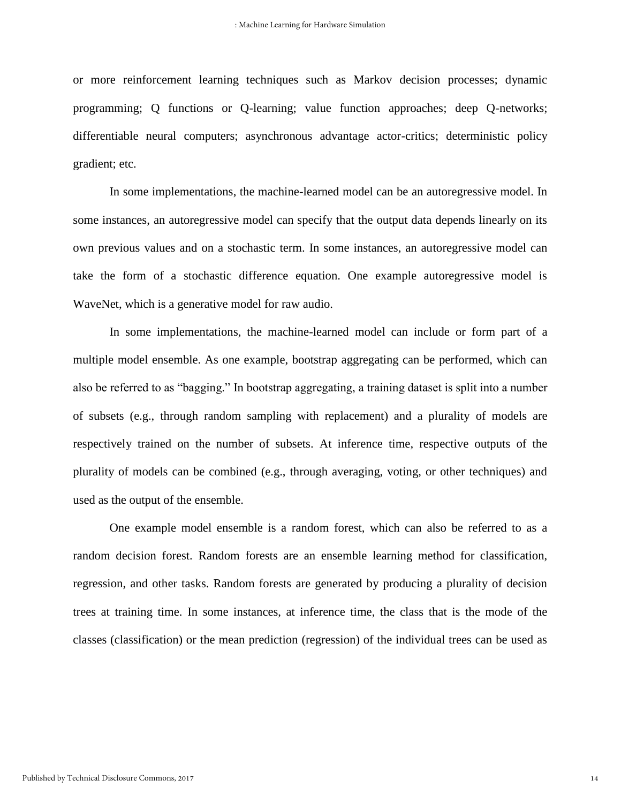or more reinforcement learning techniques such as Markov decision processes; dynamic programming; Q functions or Q-learning; value function approaches; deep Q-networks; differentiable neural computers; asynchronous advantage actor-critics; deterministic policy gradient; etc.

In some implementations, the machine-learned model can be an autoregressive model. In some instances, an autoregressive model can specify that the output data depends linearly on its own previous values and on a stochastic term. In some instances, an autoregressive model can take the form of a stochastic difference equation. One example autoregressive model is WaveNet, which is a generative model for raw audio.

In some implementations, the machine-learned model can include or form part of a multiple model ensemble. As one example, bootstrap aggregating can be performed, which can also be referred to as "bagging." In bootstrap aggregating, a training dataset is split into a number of subsets (e.g., through random sampling with replacement) and a plurality of models are respectively trained on the number of subsets. At inference time, respective outputs of the plurality of models can be combined (e.g., through averaging, voting, or other techniques) and used as the output of the ensemble.

One example model ensemble is a random forest, which can also be referred to as a random decision forest. Random forests are an ensemble learning method for classification, regression, and other tasks. Random forests are generated by producing a plurality of decision trees at training time. In some instances, at inference time, the class that is the mode of the classes (classification) or the mean prediction (regression) of the individual trees can be used as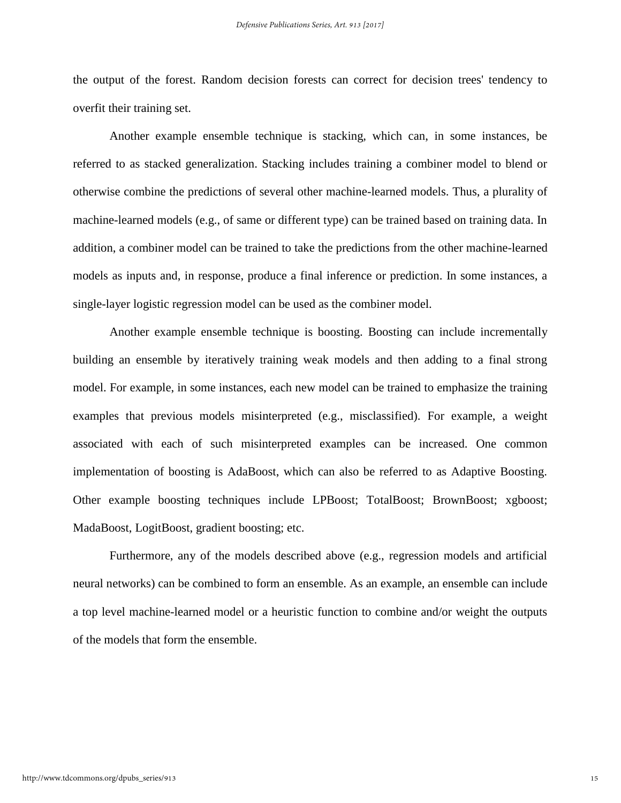the output of the forest. Random decision forests can correct for decision trees' tendency to overfit their training set.

Another example ensemble technique is stacking, which can, in some instances, be referred to as stacked generalization. Stacking includes training a combiner model to blend or otherwise combine the predictions of several other machine-learned models. Thus, a plurality of machine-learned models (e.g., of same or different type) can be trained based on training data. In addition, a combiner model can be trained to take the predictions from the other machine-learned models as inputs and, in response, produce a final inference or prediction. In some instances, a single-layer logistic regression model can be used as the combiner model.

Another example ensemble technique is boosting. Boosting can include incrementally building an ensemble by iteratively training weak models and then adding to a final strong model. For example, in some instances, each new model can be trained to emphasize the training examples that previous models misinterpreted (e.g., misclassified). For example, a weight associated with each of such misinterpreted examples can be increased. One common implementation of boosting is AdaBoost, which can also be referred to as Adaptive Boosting. Other example boosting techniques include LPBoost; TotalBoost; BrownBoost; xgboost; MadaBoost, LogitBoost, gradient boosting; etc.

Furthermore, any of the models described above (e.g., regression models and artificial neural networks) can be combined to form an ensemble. As an example, an ensemble can include a top level machine-learned model or a heuristic function to combine and/or weight the outputs of the models that form the ensemble.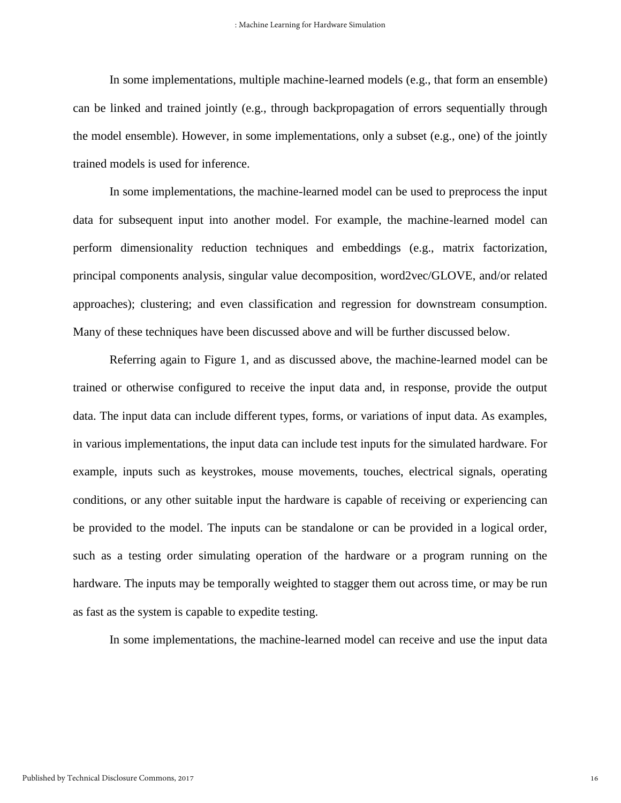In some implementations, multiple machine-learned models (e.g., that form an ensemble) can be linked and trained jointly (e.g., through backpropagation of errors sequentially through the model ensemble). However, in some implementations, only a subset (e.g., one) of the jointly trained models is used for inference.

In some implementations, the machine-learned model can be used to preprocess the input data for subsequent input into another model. For example, the machine-learned model can perform dimensionality reduction techniques and embeddings (e.g., matrix factorization, principal components analysis, singular value decomposition, word2vec/GLOVE, and/or related approaches); clustering; and even classification and regression for downstream consumption. Many of these techniques have been discussed above and will be further discussed below.

Referring again to Figure 1, and as discussed above, the machine-learned model can be trained or otherwise configured to receive the input data and, in response, provide the output data. The input data can include different types, forms, or variations of input data. As examples, in various implementations, the input data can include test inputs for the simulated hardware. For example, inputs such as keystrokes, mouse movements, touches, electrical signals, operating conditions, or any other suitable input the hardware is capable of receiving or experiencing can be provided to the model. The inputs can be standalone or can be provided in a logical order, such as a testing order simulating operation of the hardware or a program running on the hardware. The inputs may be temporally weighted to stagger them out across time, or may be run as fast as the system is capable to expedite testing.

In some implementations, the machine-learned model can receive and use the input data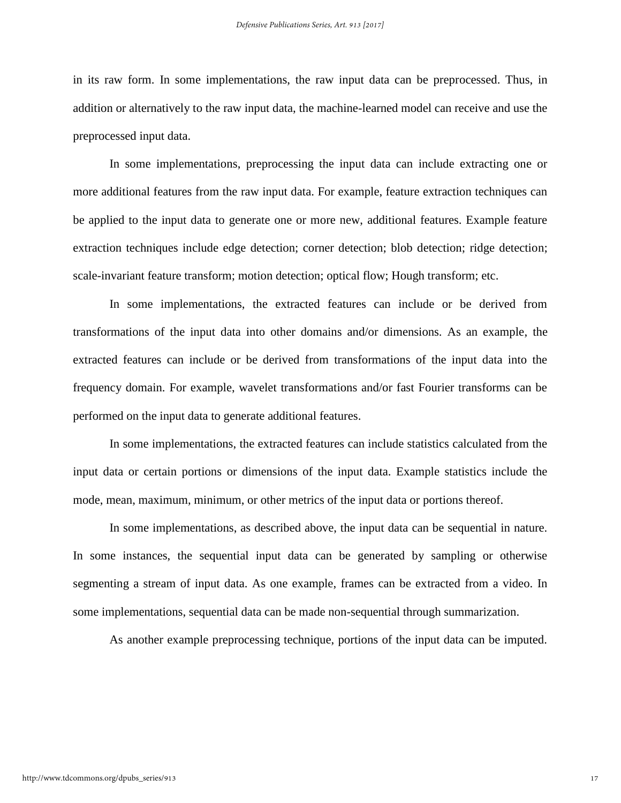in its raw form. In some implementations, the raw input data can be preprocessed. Thus, in addition or alternatively to the raw input data, the machine-learned model can receive and use the preprocessed input data.

In some implementations, preprocessing the input data can include extracting one or more additional features from the raw input data. For example, feature extraction techniques can be applied to the input data to generate one or more new, additional features. Example feature extraction techniques include edge detection; corner detection; blob detection; ridge detection; scale-invariant feature transform; motion detection; optical flow; Hough transform; etc.

In some implementations, the extracted features can include or be derived from transformations of the input data into other domains and/or dimensions. As an example, the extracted features can include or be derived from transformations of the input data into the frequency domain. For example, wavelet transformations and/or fast Fourier transforms can be performed on the input data to generate additional features.

In some implementations, the extracted features can include statistics calculated from the input data or certain portions or dimensions of the input data. Example statistics include the mode, mean, maximum, minimum, or other metrics of the input data or portions thereof.

In some implementations, as described above, the input data can be sequential in nature. In some instances, the sequential input data can be generated by sampling or otherwise segmenting a stream of input data. As one example, frames can be extracted from a video. In some implementations, sequential data can be made non-sequential through summarization.

As another example preprocessing technique, portions of the input data can be imputed.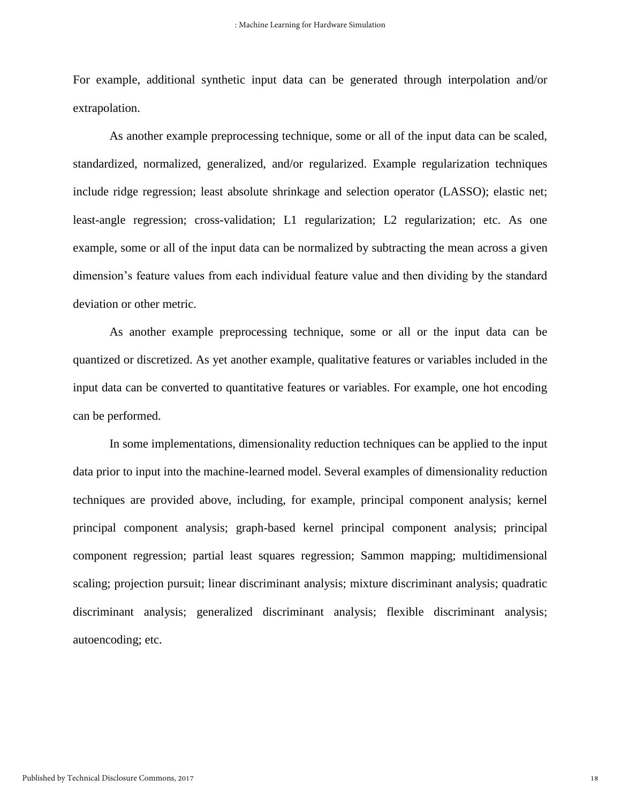For example, additional synthetic input data can be generated through interpolation and/or extrapolation.

As another example preprocessing technique, some or all of the input data can be scaled, standardized, normalized, generalized, and/or regularized. Example regularization techniques include ridge regression; least absolute shrinkage and selection operator (LASSO); elastic net; least-angle regression; cross-validation; L1 regularization; L2 regularization; etc. As one example, some or all of the input data can be normalized by subtracting the mean across a given dimension's feature values from each individual feature value and then dividing by the standard deviation or other metric.

As another example preprocessing technique, some or all or the input data can be quantized or discretized. As yet another example, qualitative features or variables included in the input data can be converted to quantitative features or variables. For example, one hot encoding can be performed.

In some implementations, dimensionality reduction techniques can be applied to the input data prior to input into the machine-learned model. Several examples of dimensionality reduction techniques are provided above, including, for example, principal component analysis; kernel principal component analysis; graph-based kernel principal component analysis; principal component regression; partial least squares regression; Sammon mapping; multidimensional scaling; projection pursuit; linear discriminant analysis; mixture discriminant analysis; quadratic discriminant analysis; generalized discriminant analysis; flexible discriminant analysis; autoencoding; etc.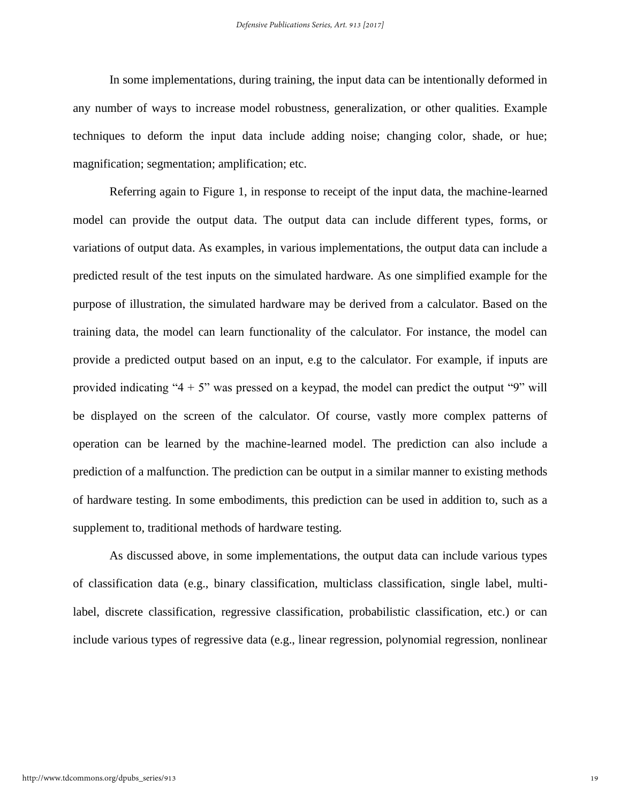In some implementations, during training, the input data can be intentionally deformed in any number of ways to increase model robustness, generalization, or other qualities. Example techniques to deform the input data include adding noise; changing color, shade, or hue; magnification; segmentation; amplification; etc.

Referring again to Figure 1, in response to receipt of the input data, the machine-learned model can provide the output data. The output data can include different types, forms, or variations of output data. As examples, in various implementations, the output data can include a predicted result of the test inputs on the simulated hardware. As one simplified example for the purpose of illustration, the simulated hardware may be derived from a calculator. Based on the training data, the model can learn functionality of the calculator. For instance, the model can provide a predicted output based on an input, e.g to the calculator. For example, if inputs are provided indicating " $4 + 5$ " was pressed on a keypad, the model can predict the output "9" will be displayed on the screen of the calculator. Of course, vastly more complex patterns of operation can be learned by the machine-learned model. The prediction can also include a prediction of a malfunction. The prediction can be output in a similar manner to existing methods of hardware testing. In some embodiments, this prediction can be used in addition to, such as a supplement to, traditional methods of hardware testing.

As discussed above, in some implementations, the output data can include various types of classification data (e.g., binary classification, multiclass classification, single label, multilabel, discrete classification, regressive classification, probabilistic classification, etc.) or can include various types of regressive data (e.g., linear regression, polynomial regression, nonlinear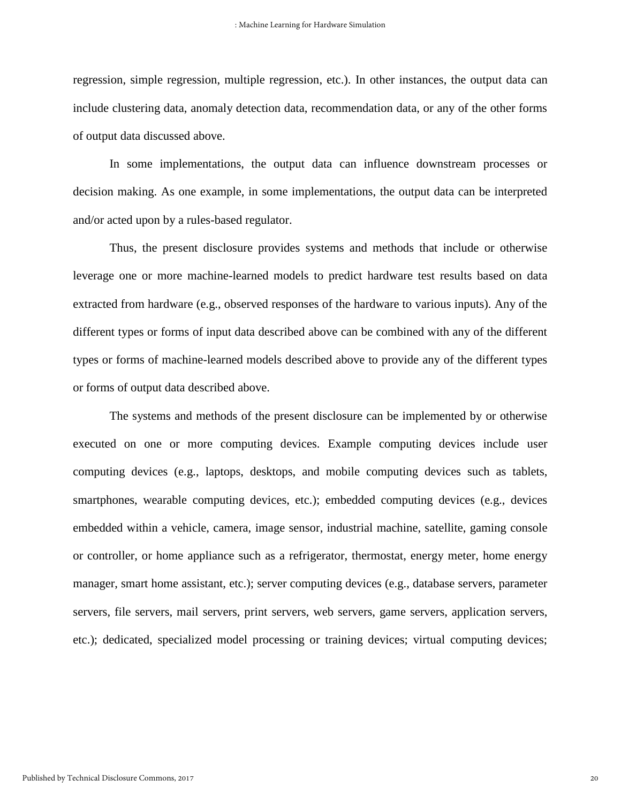regression, simple regression, multiple regression, etc.). In other instances, the output data can include clustering data, anomaly detection data, recommendation data, or any of the other forms of output data discussed above.

In some implementations, the output data can influence downstream processes or decision making. As one example, in some implementations, the output data can be interpreted and/or acted upon by a rules-based regulator.

Thus, the present disclosure provides systems and methods that include or otherwise leverage one or more machine-learned models to predict hardware test results based on data extracted from hardware (e.g., observed responses of the hardware to various inputs). Any of the different types or forms of input data described above can be combined with any of the different types or forms of machine-learned models described above to provide any of the different types or forms of output data described above.

The systems and methods of the present disclosure can be implemented by or otherwise executed on one or more computing devices. Example computing devices include user computing devices (e.g., laptops, desktops, and mobile computing devices such as tablets, smartphones, wearable computing devices, etc.); embedded computing devices (e.g., devices embedded within a vehicle, camera, image sensor, industrial machine, satellite, gaming console or controller, or home appliance such as a refrigerator, thermostat, energy meter, home energy manager, smart home assistant, etc.); server computing devices (e.g., database servers, parameter servers, file servers, mail servers, print servers, web servers, game servers, application servers, etc.); dedicated, specialized model processing or training devices; virtual computing devices;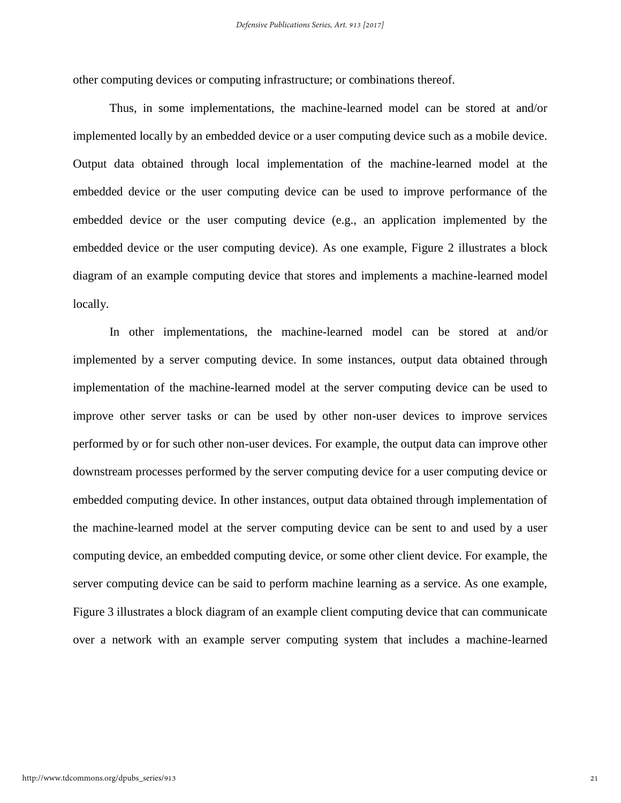other computing devices or computing infrastructure; or combinations thereof.

Thus, in some implementations, the machine-learned model can be stored at and/or implemented locally by an embedded device or a user computing device such as a mobile device. Output data obtained through local implementation of the machine-learned model at the embedded device or the user computing device can be used to improve performance of the embedded device or the user computing device (e.g., an application implemented by the embedded device or the user computing device). As one example, Figure 2 illustrates a block diagram of an example computing device that stores and implements a machine-learned model locally.

In other implementations, the machine-learned model can be stored at and/or implemented by a server computing device. In some instances, output data obtained through implementation of the machine-learned model at the server computing device can be used to improve other server tasks or can be used by other non-user devices to improve services performed by or for such other non-user devices. For example, the output data can improve other downstream processes performed by the server computing device for a user computing device or embedded computing device. In other instances, output data obtained through implementation of the machine-learned model at the server computing device can be sent to and used by a user computing device, an embedded computing device, or some other client device. For example, the server computing device can be said to perform machine learning as a service. As one example, Figure 3 illustrates a block diagram of an example client computing device that can communicate over a network with an example server computing system that includes a machine-learned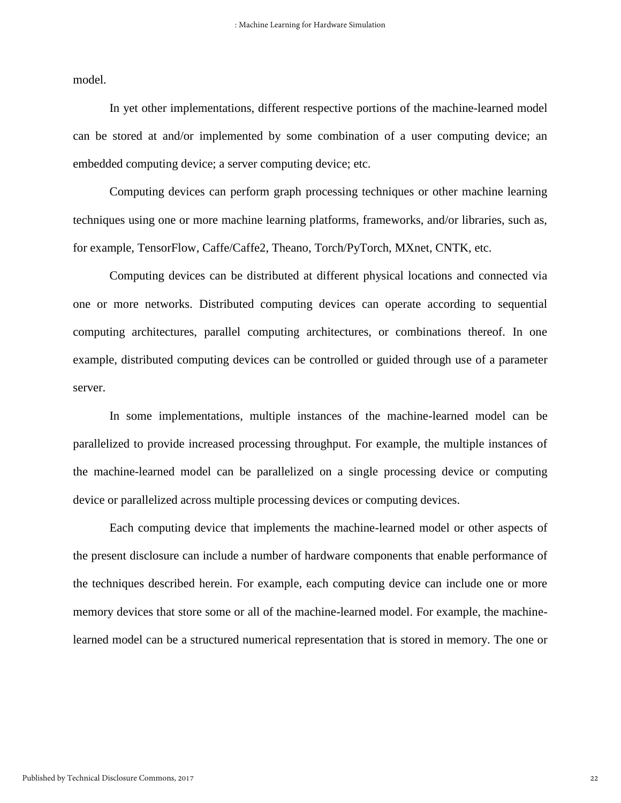model.

In yet other implementations, different respective portions of the machine-learned model can be stored at and/or implemented by some combination of a user computing device; an embedded computing device; a server computing device; etc.

Computing devices can perform graph processing techniques or other machine learning techniques using one or more machine learning platforms, frameworks, and/or libraries, such as, for example, TensorFlow, Caffe/Caffe2, Theano, Torch/PyTorch, MXnet, CNTK, etc.

Computing devices can be distributed at different physical locations and connected via one or more networks. Distributed computing devices can operate according to sequential computing architectures, parallel computing architectures, or combinations thereof. In one example, distributed computing devices can be controlled or guided through use of a parameter server.

In some implementations, multiple instances of the machine-learned model can be parallelized to provide increased processing throughput. For example, the multiple instances of the machine-learned model can be parallelized on a single processing device or computing device or parallelized across multiple processing devices or computing devices.

Each computing device that implements the machine-learned model or other aspects of the present disclosure can include a number of hardware components that enable performance of the techniques described herein. For example, each computing device can include one or more memory devices that store some or all of the machine-learned model. For example, the machinelearned model can be a structured numerical representation that is stored in memory. The one or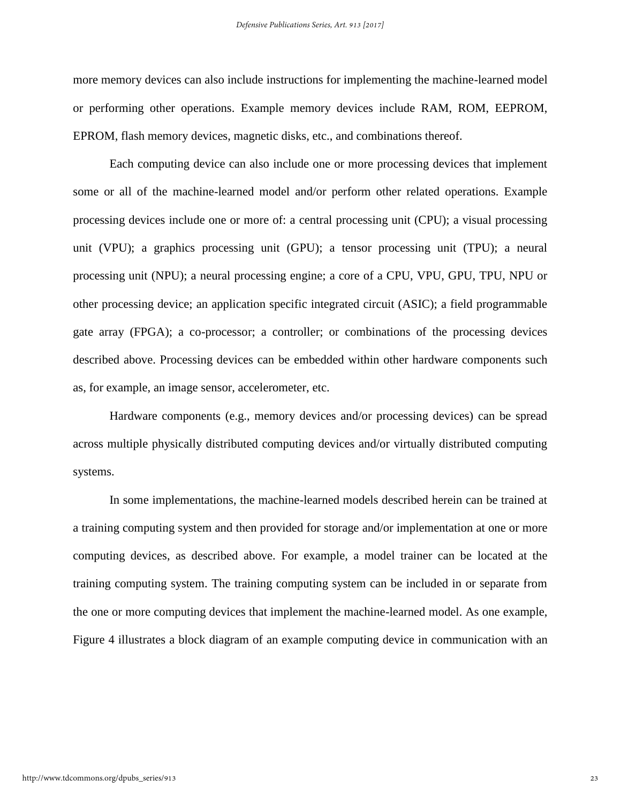more memory devices can also include instructions for implementing the machine-learned model or performing other operations. Example memory devices include RAM, ROM, EEPROM, EPROM, flash memory devices, magnetic disks, etc., and combinations thereof.

Each computing device can also include one or more processing devices that implement some or all of the machine-learned model and/or perform other related operations. Example processing devices include one or more of: a central processing unit (CPU); a visual processing unit (VPU); a graphics processing unit (GPU); a tensor processing unit (TPU); a neural processing unit (NPU); a neural processing engine; a core of a CPU, VPU, GPU, TPU, NPU or other processing device; an application specific integrated circuit (ASIC); a field programmable gate array (FPGA); a co-processor; a controller; or combinations of the processing devices described above. Processing devices can be embedded within other hardware components such as, for example, an image sensor, accelerometer, etc.

Hardware components (e.g., memory devices and/or processing devices) can be spread across multiple physically distributed computing devices and/or virtually distributed computing systems.

In some implementations, the machine-learned models described herein can be trained at a training computing system and then provided for storage and/or implementation at one or more computing devices, as described above. For example, a model trainer can be located at the training computing system. The training computing system can be included in or separate from the one or more computing devices that implement the machine-learned model. As one example, Figure 4 illustrates a block diagram of an example computing device in communication with an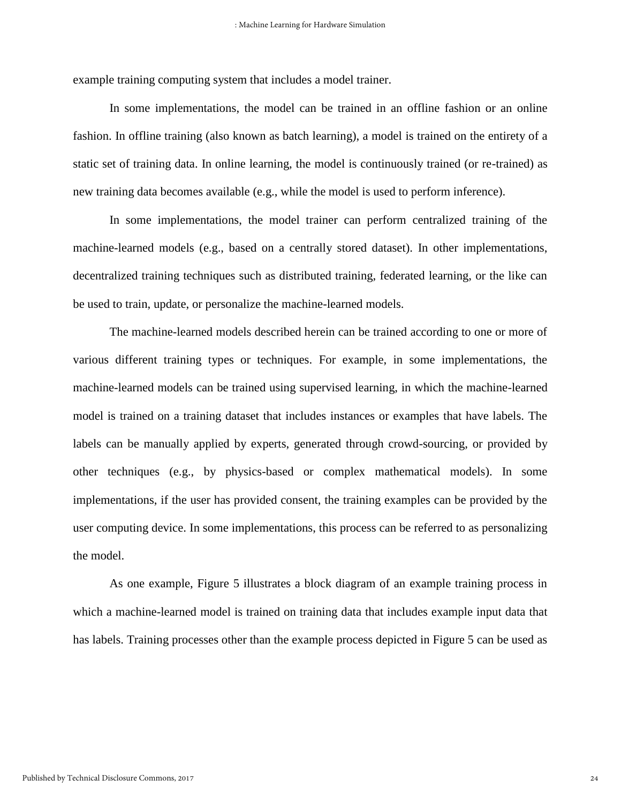example training computing system that includes a model trainer.

In some implementations, the model can be trained in an offline fashion or an online fashion. In offline training (also known as batch learning), a model is trained on the entirety of a static set of training data. In online learning, the model is continuously trained (or re-trained) as new training data becomes available (e.g., while the model is used to perform inference).

In some implementations, the model trainer can perform centralized training of the machine-learned models (e.g., based on a centrally stored dataset). In other implementations, decentralized training techniques such as distributed training, federated learning, or the like can be used to train, update, or personalize the machine-learned models.

The machine-learned models described herein can be trained according to one or more of various different training types or techniques. For example, in some implementations, the machine-learned models can be trained using supervised learning, in which the machine-learned model is trained on a training dataset that includes instances or examples that have labels. The labels can be manually applied by experts, generated through crowd-sourcing, or provided by other techniques (e.g., by physics-based or complex mathematical models). In some implementations, if the user has provided consent, the training examples can be provided by the user computing device. In some implementations, this process can be referred to as personalizing the model.

As one example, Figure 5 illustrates a block diagram of an example training process in which a machine-learned model is trained on training data that includes example input data that has labels. Training processes other than the example process depicted in Figure 5 can be used as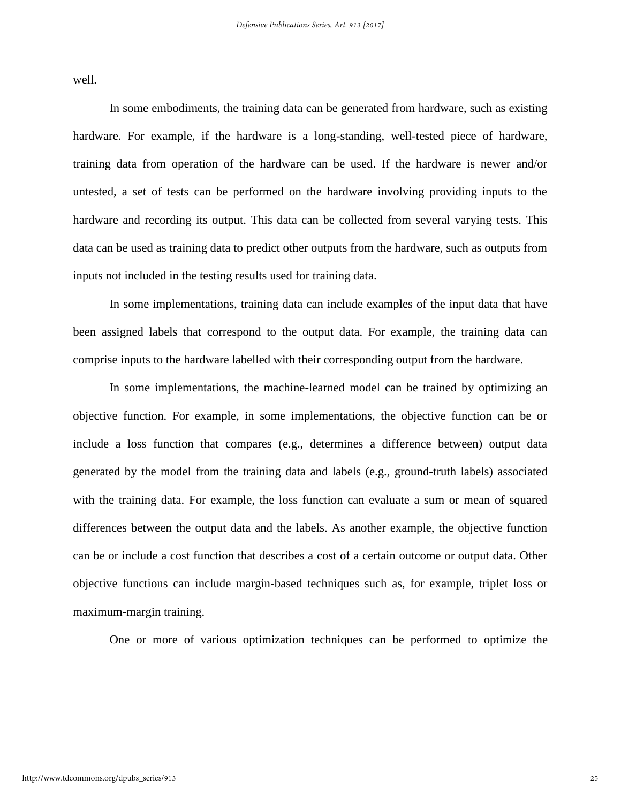well.

In some embodiments, the training data can be generated from hardware, such as existing hardware. For example, if the hardware is a long-standing, well-tested piece of hardware, training data from operation of the hardware can be used. If the hardware is newer and/or untested, a set of tests can be performed on the hardware involving providing inputs to the hardware and recording its output. This data can be collected from several varying tests. This data can be used as training data to predict other outputs from the hardware, such as outputs from inputs not included in the testing results used for training data.

In some implementations, training data can include examples of the input data that have been assigned labels that correspond to the output data. For example, the training data can comprise inputs to the hardware labelled with their corresponding output from the hardware.

In some implementations, the machine-learned model can be trained by optimizing an objective function. For example, in some implementations, the objective function can be or include a loss function that compares (e.g., determines a difference between) output data generated by the model from the training data and labels (e.g., ground-truth labels) associated with the training data. For example, the loss function can evaluate a sum or mean of squared differences between the output data and the labels. As another example, the objective function can be or include a cost function that describes a cost of a certain outcome or output data. Other objective functions can include margin-based techniques such as, for example, triplet loss or maximum-margin training.

One or more of various optimization techniques can be performed to optimize the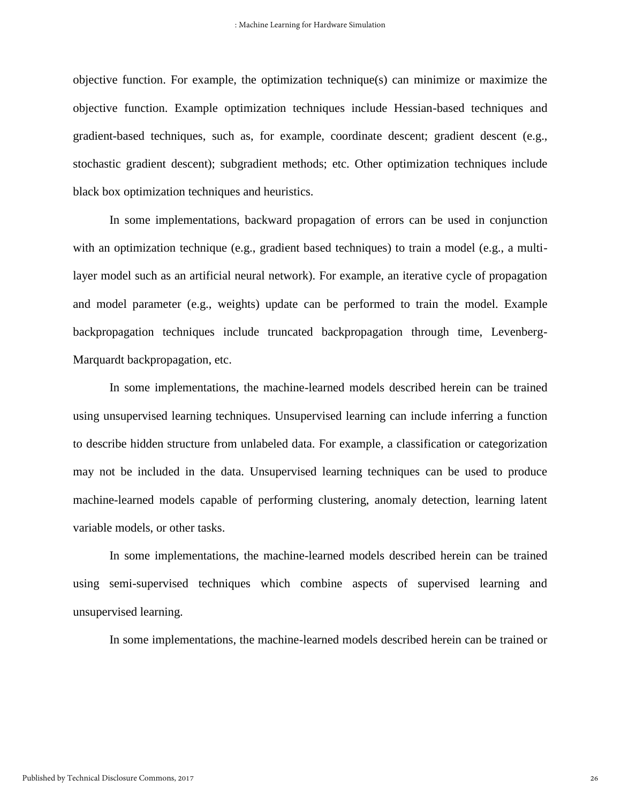objective function. For example, the optimization technique(s) can minimize or maximize the objective function. Example optimization techniques include Hessian-based techniques and gradient-based techniques, such as, for example, coordinate descent; gradient descent (e.g., stochastic gradient descent); subgradient methods; etc. Other optimization techniques include black box optimization techniques and heuristics.

In some implementations, backward propagation of errors can be used in conjunction with an optimization technique (e.g., gradient based techniques) to train a model (e.g., a multilayer model such as an artificial neural network). For example, an iterative cycle of propagation and model parameter (e.g., weights) update can be performed to train the model. Example backpropagation techniques include truncated backpropagation through time, Levenberg-Marquardt backpropagation, etc.

In some implementations, the machine-learned models described herein can be trained using unsupervised learning techniques. Unsupervised learning can include inferring a function to describe hidden structure from unlabeled data. For example, a classification or categorization may not be included in the data. Unsupervised learning techniques can be used to produce machine-learned models capable of performing clustering, anomaly detection, learning latent variable models, or other tasks.

In some implementations, the machine-learned models described herein can be trained using semi-supervised techniques which combine aspects of supervised learning and unsupervised learning.

In some implementations, the machine-learned models described herein can be trained or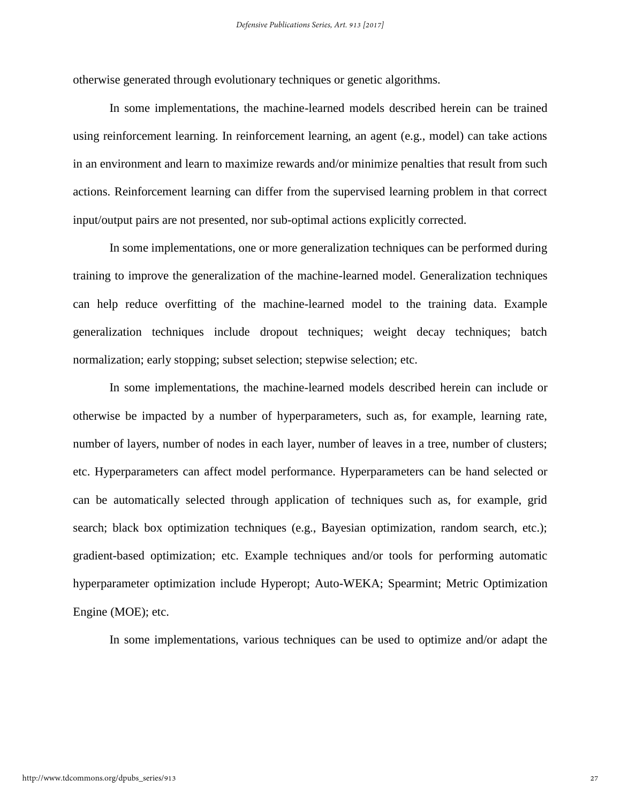otherwise generated through evolutionary techniques or genetic algorithms.

In some implementations, the machine-learned models described herein can be trained using reinforcement learning. In reinforcement learning, an agent (e.g., model) can take actions in an environment and learn to maximize rewards and/or minimize penalties that result from such actions. Reinforcement learning can differ from the supervised learning problem in that correct input/output pairs are not presented, nor sub-optimal actions explicitly corrected.

In some implementations, one or more generalization techniques can be performed during training to improve the generalization of the machine-learned model. Generalization techniques can help reduce overfitting of the machine-learned model to the training data. Example generalization techniques include dropout techniques; weight decay techniques; batch normalization; early stopping; subset selection; stepwise selection; etc.

In some implementations, the machine-learned models described herein can include or otherwise be impacted by a number of hyperparameters, such as, for example, learning rate, number of layers, number of nodes in each layer, number of leaves in a tree, number of clusters; etc. Hyperparameters can affect model performance. Hyperparameters can be hand selected or can be automatically selected through application of techniques such as, for example, grid search; black box optimization techniques (e.g., Bayesian optimization, random search, etc.); gradient-based optimization; etc. Example techniques and/or tools for performing automatic hyperparameter optimization include Hyperopt; Auto-WEKA; Spearmint; Metric Optimization Engine (MOE); etc.

In some implementations, various techniques can be used to optimize and/or adapt the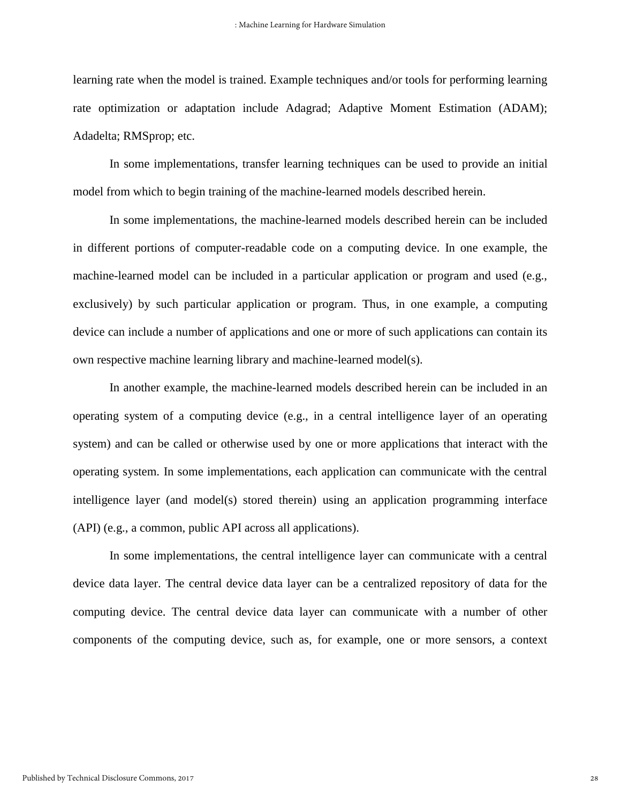learning rate when the model is trained. Example techniques and/or tools for performing learning rate optimization or adaptation include Adagrad; Adaptive Moment Estimation (ADAM); Adadelta; RMSprop; etc.

In some implementations, transfer learning techniques can be used to provide an initial model from which to begin training of the machine-learned models described herein.

In some implementations, the machine-learned models described herein can be included in different portions of computer-readable code on a computing device. In one example, the machine-learned model can be included in a particular application or program and used (e.g., exclusively) by such particular application or program. Thus, in one example, a computing device can include a number of applications and one or more of such applications can contain its own respective machine learning library and machine-learned model(s).

In another example, the machine-learned models described herein can be included in an operating system of a computing device (e.g., in a central intelligence layer of an operating system) and can be called or otherwise used by one or more applications that interact with the operating system. In some implementations, each application can communicate with the central intelligence layer (and model(s) stored therein) using an application programming interface (API) (e.g., a common, public API across all applications).

In some implementations, the central intelligence layer can communicate with a central device data layer. The central device data layer can be a centralized repository of data for the computing device. The central device data layer can communicate with a number of other components of the computing device, such as, for example, one or more sensors, a context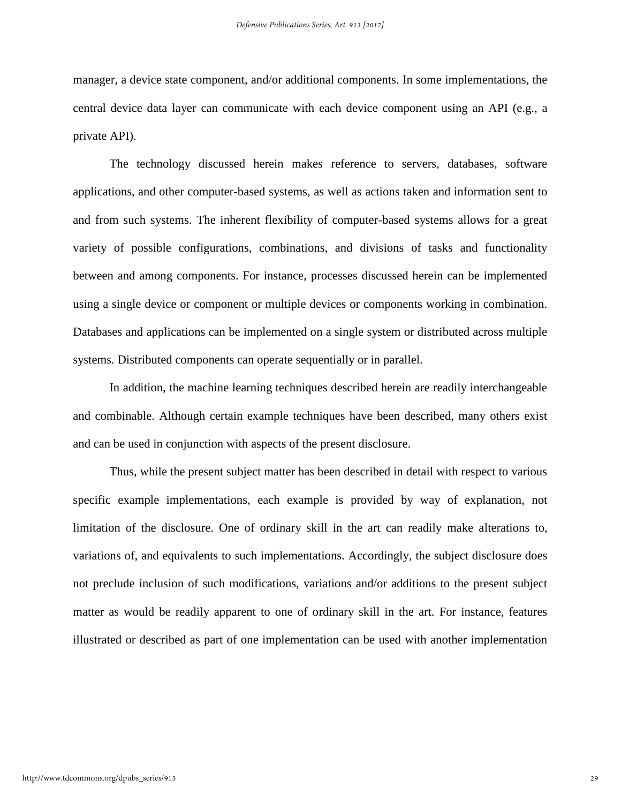manager, a device state component, and/or additional components. In some implementations, the central device data layer can communicate with each device component using an API (e.g., a private API).

The technology discussed herein makes reference to servers, databases, software applications, and other computer-based systems, as well as actions taken and information sent to and from such systems. The inherent flexibility of computer-based systems allows for a great variety of possible configurations, combinations, and divisions of tasks and functionality between and among components. For instance, processes discussed herein can be implemented using a single device or component or multiple devices or components working in combination. Databases and applications can be implemented on a single system or distributed across multiple systems. Distributed components can operate sequentially or in parallel.

In addition, the machine learning techniques described herein are readily interchangeable and combinable. Although certain example techniques have been described, many others exist and can be used in conjunction with aspects of the present disclosure.

Thus, while the present subject matter has been described in detail with respect to various specific example implementations, each example is provided by way of explanation, not limitation of the disclosure. One of ordinary skill in the art can readily make alterations to, variations of, and equivalents to such implementations. Accordingly, the subject disclosure does not preclude inclusion of such modifications, variations and/or additions to the present subject matter as would be readily apparent to one of ordinary skill in the art. For instance, features illustrated or described as part of one implementation can be used with another implementation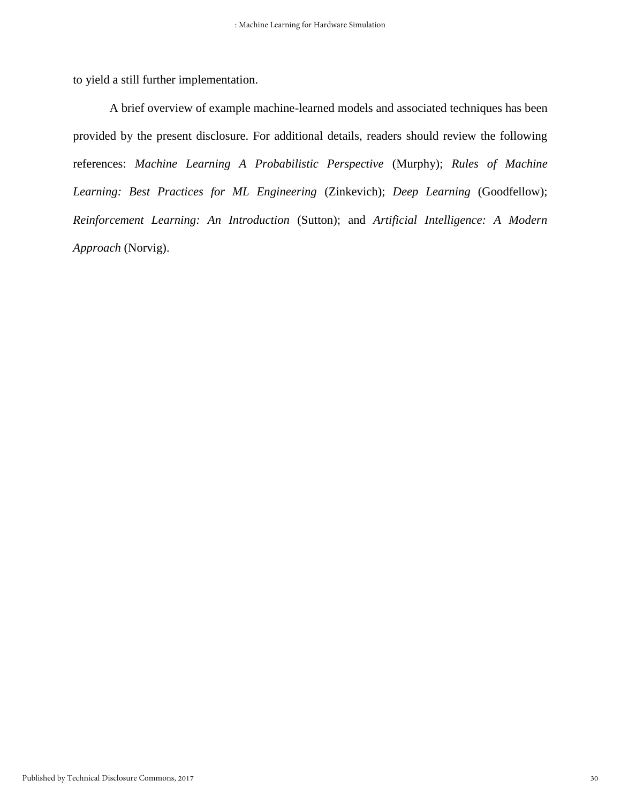to yield a still further implementation.

A brief overview of example machine-learned models and associated techniques has been provided by the present disclosure. For additional details, readers should review the following references: *Machine Learning A Probabilistic Perspective* (Murphy); *Rules of Machine Learning: Best Practices for ML Engineering* (Zinkevich); *Deep Learning* (Goodfellow); *Reinforcement Learning: An Introduction* (Sutton); and *Artificial Intelligence: A Modern Approach* (Norvig).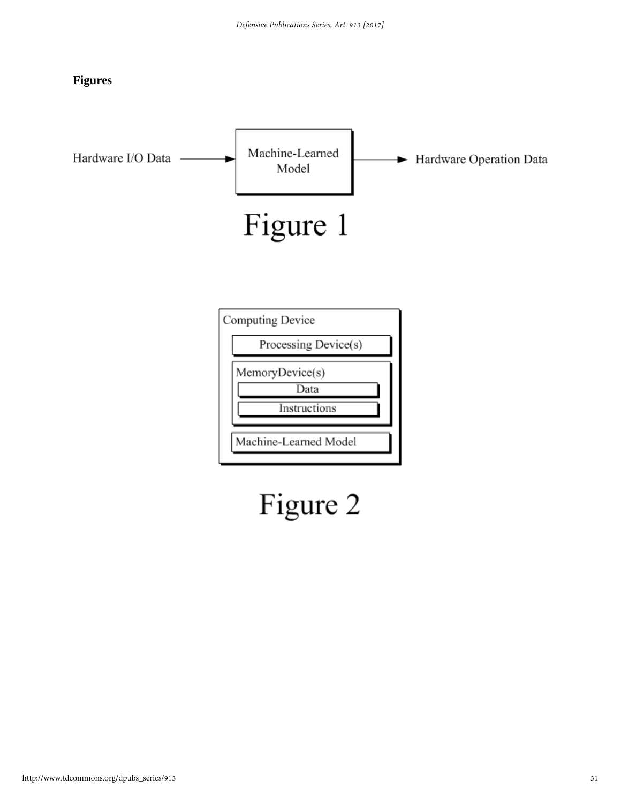



Figure 2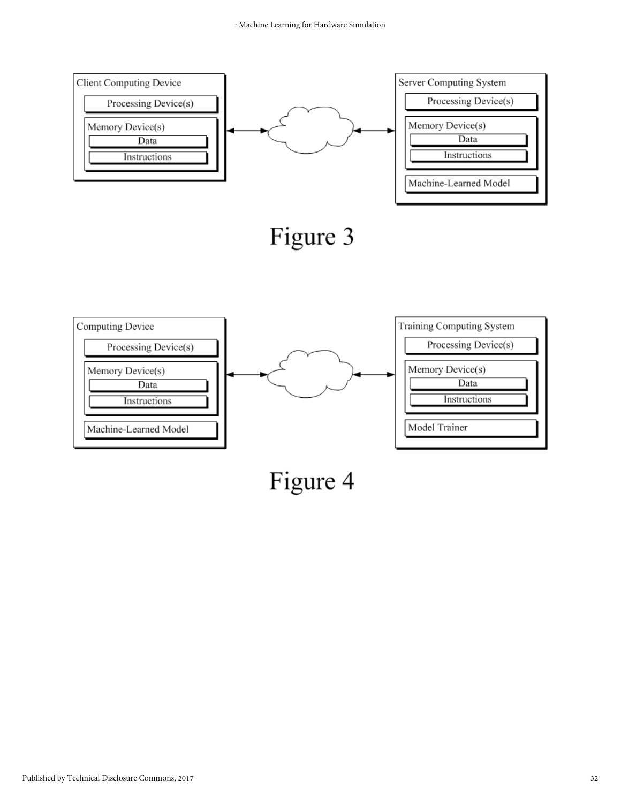



Figure 4